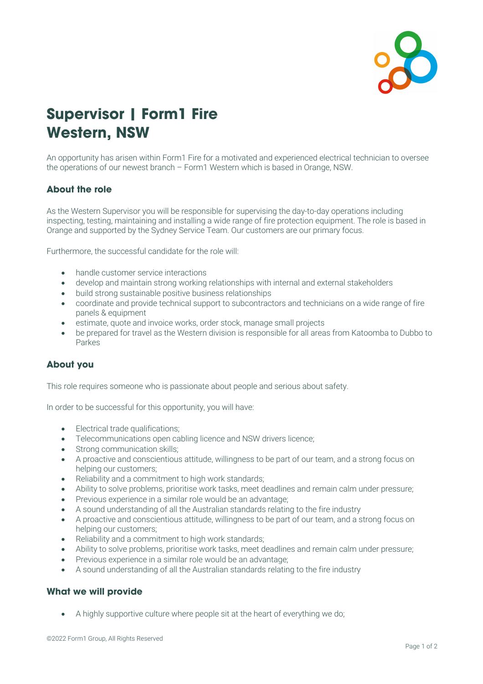

## **Supervisor | Form1 Fire Western, NSW**

An opportunity has arisen within Form1 Fire for a motivated and experienced electrical technician to oversee the operations of our newest branch – Form1 Western which is based in Orange, NSW.

## **About the role**

As the Western Supervisor you will be responsible for supervising the day-to-day operations including inspecting, testing, maintaining and installing a wide range of fire protection equipment. The role is based in Orange and supported by the Sydney Service Team. Our customers are our primary focus.

Furthermore, the successful candidate for the role will:

- handle customer service interactions
- develop and maintain strong working relationships with internal and external stakeholders
- build strong sustainable positive business relationships
- coordinate and provide technical support to subcontractors and technicians on a wide range of fire panels & equipment
- estimate, quote and invoice works, order stock, manage small projects
- be prepared for travel as the Western division is responsible for all areas from Katoomba to Dubbo to Parkes

## **About you**

This role requires someone who is passionate about people and serious about safety.

In order to be successful for this opportunity, you will have:

- Electrical trade qualifications;
- Telecommunications open cabling licence and NSW drivers licence;
- Strong communication skills;
- A proactive and conscientious attitude, willingness to be part of our team, and a strong focus on helping our customers;
- Reliability and a commitment to high work standards;
- Ability to solve problems, prioritise work tasks, meet deadlines and remain calm under pressure;
- Previous experience in a similar role would be an advantage;
- A sound understanding of all the Australian standards relating to the fire industry
- A proactive and conscientious attitude, willingness to be part of our team, and a strong focus on helping our customers;
- Reliability and a commitment to high work standards;
- Ability to solve problems, prioritise work tasks, meet deadlines and remain calm under pressure;
- Previous experience in a similar role would be an advantage;
- A sound understanding of all the Australian standards relating to the fire industry

## **What we will provide**

• A highly supportive culture where people sit at the heart of everything we do;